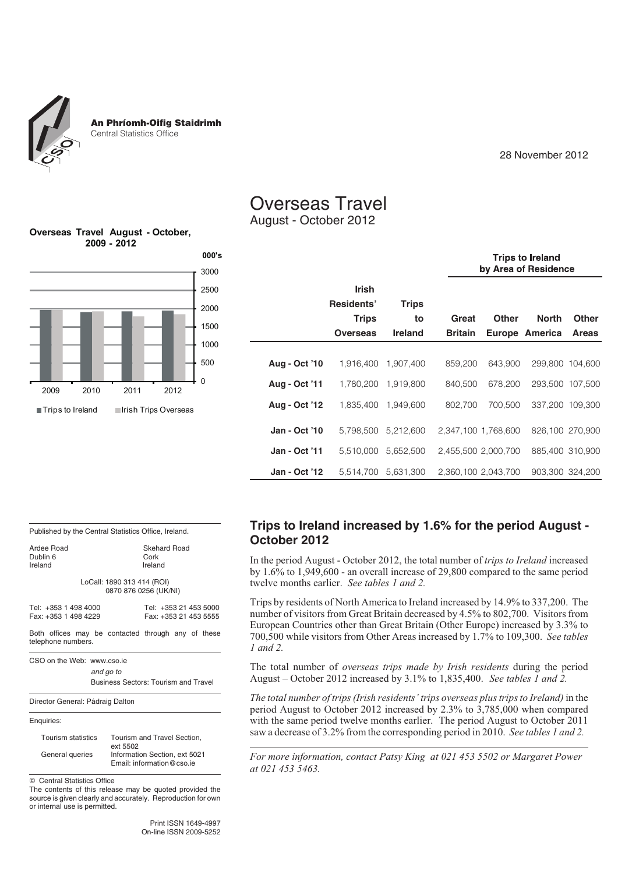An Phríomh-Oifig Staidrimh Central Statistics Office

28 November 2012

# Overseas Travel

August - October 2012

|               |                   |                     |                | <b>Trips to Ireland</b><br>by Area of Residence |                 |              |  |  |  |
|---------------|-------------------|---------------------|----------------|-------------------------------------------------|-----------------|--------------|--|--|--|
|               | <b>Irish</b>      |                     |                |                                                 |                 |              |  |  |  |
|               | <b>Residents'</b> | <b>Trips</b>        |                |                                                 |                 |              |  |  |  |
|               | <b>Trips</b>      | to                  | Great          | <b>Other</b>                                    | <b>North</b>    | <b>Other</b> |  |  |  |
|               | Overseas          | <b>Ireland</b>      | <b>Britain</b> |                                                 | Europe America  | <b>Areas</b> |  |  |  |
|               |                   |                     |                |                                                 |                 |              |  |  |  |
| Aug - Oct '10 |                   | 1.916.400 1.907.400 | 859.200        | 643.900                                         | 299.800 104.600 |              |  |  |  |
| Aug - Oct '11 |                   | 1,780,200 1,919,800 | 840,500        | 678.200                                         | 293,500 107,500 |              |  |  |  |
| Aug - Oct '12 |                   | 1,835,400 1,949,600 | 802.700        | 700.500                                         | 337.200 109.300 |              |  |  |  |
| Jan - Oct '10 |                   | 5,798,500 5,212,600 |                | 2,347,100 1,768,600                             | 826,100 270,900 |              |  |  |  |
| Jan - Oct '11 |                   | 5,510,000 5,652,500 |                | 2,455,500 2,000,700                             | 885,400 310,900 |              |  |  |  |
| Jan - Oct '12 |                   | 5,514,700 5,631,300 |                | 2,360,100 2,043,700                             | 903,300 324,200 |              |  |  |  |

**Overseas Travel August - October, 2009 - 2012**



Published by the Central Statistics Office, Ireland. Ardee Road<br>
Dublin 6 (Sepanda Cork Cork Dublin 6 Cork

> LoCall: 1890 313 414 (ROI) 0870 876 0256 (UK/NI)

| Tel: +353 1 498 4000 | Tel: +353 21 453 5000 |
|----------------------|-----------------------|
| Fax: +353 1 498 4229 | Fax: +353 21 453 5555 |

Both offices may be contacted through any of these telephone numbers.

CSO on the Web: www.cso.ie

*and go to* Business Sectors: Tourism and Travel

Director General: Pádraig Dalton



Ireland

Tourism statistics Tourism and Travel Section, ext 5502 General queries Information Section, ext 5021 Email: information@cso.ie

 $©$  Central Statistics Office

The contents of this release may be quoted provided the source is given clearly and accurately. Reproduction for own or internal use is permitted.

> Print ISSN 1649-4997 On-line ISSN 2009-5252

## **Trips to Ireland increased by 1.6% for the period August - October 2012**

In the period August - October 2012, the total number of *trips to Ireland* increased by 1.6% to 1,949,600 - an overall increase of 29,800 compared to the same period twelve months earlier. *See tables 1 and 2.*

Trips by residents of North America to Ireland increased by 14.9% to 337,200. The number of visitors from Great Britain decreased by 4.5% to 802,700. Visitors from European Countries other than Great Britain (Other Europe) increased by 3.3% to 700,500 while visitors from Other Areas increased by 1.7% to 109,300. *See tables 1 and 2.*

The total number of *overseas trips made by Irish residents* during the period August – October 2012 increased by 3.1% to 1,835,400. *See tables 1 and 2.*

*The total number of trips (Irish residents' trips overseas plus trips to Ireland)* in the period August to October 2012 increased by 2.3% to 3,785,000 when compared with the same period twelve months earlier. The period August to October 2011 saw a decrease of 3.2% from the corresponding period in 2010. *See tables 1 and 2.*

*For more information, contact Patsy King at 021 453 5502 or Margaret Power at 021 453 5463.*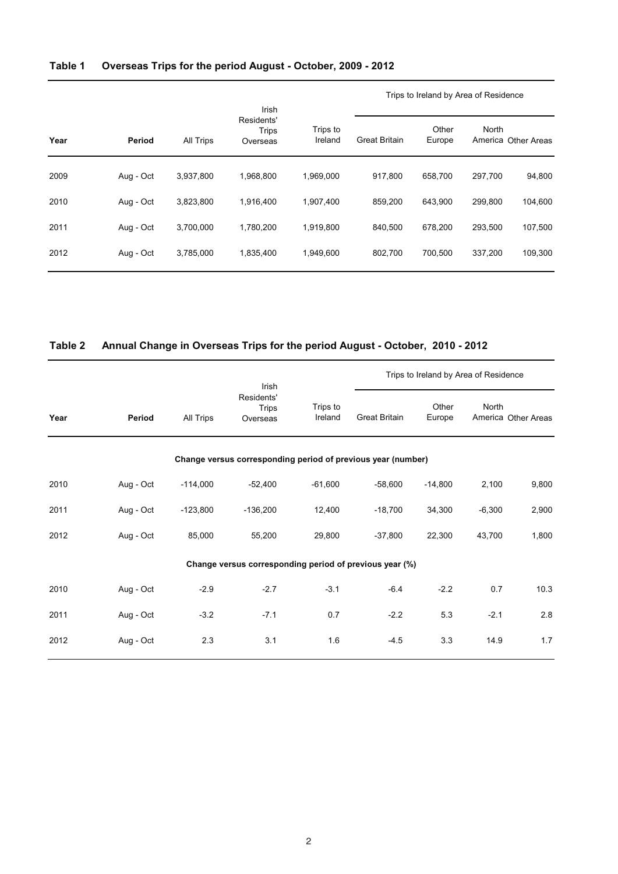## **Table 1 Overseas Trips for the period August - October, 2009 - 2012**

|      |           |           |                                          |                     | Trips to Ireland by Area of Residence |                 |         |                     |
|------|-----------|-----------|------------------------------------------|---------------------|---------------------------------------|-----------------|---------|---------------------|
| Year | Period    | All Trips | Irish<br>Residents'<br>Trips<br>Overseas | Trips to<br>Ireland | <b>Great Britain</b>                  | Other<br>Europe | North   | America Other Areas |
| 2009 | Aug - Oct | 3,937,800 | 1.968.800                                | 1.969.000           | 917.800                               | 658.700         | 297.700 | 94,800              |
| 2010 | Aug - Oct | 3,823,800 | 1,916,400                                | 1,907,400           | 859,200                               | 643,900         | 299,800 | 104,600             |
| 2011 | Aug - Oct | 3,700,000 | 1.780.200                                | 1,919,800           | 840.500                               | 678.200         | 293.500 | 107,500             |
| 2012 | Aug - Oct | 3,785,000 | 1,835,400                                | 1,949,600           | 802,700                               | 700.500         | 337.200 | 109,300             |
|      |           |           |                                          |                     |                                       |                 |         |                     |

### **Table 2 Annual Change in Overseas Trips for the period August - October, 2010 - 2012**

|      |           |            | Irish                                                        |                     | Trips to Ireland by Area of Residence |                 |              |                     |
|------|-----------|------------|--------------------------------------------------------------|---------------------|---------------------------------------|-----------------|--------------|---------------------|
| Year | Period    | All Trips  | Residents'<br><b>Trips</b><br>Overseas                       | Trips to<br>Ireland | <b>Great Britain</b>                  | Other<br>Europe | <b>North</b> | America Other Areas |
|      |           |            | Change versus corresponding period of previous year (number) |                     |                                       |                 |              |                     |
| 2010 | Aug - Oct | $-114,000$ | $-52,400$                                                    | $-61,600$           | $-58,600$                             | $-14,800$       | 2,100        | 9,800               |
| 2011 | Aug - Oct | $-123,800$ | $-136,200$                                                   | 12,400              | $-18,700$                             | 34,300          | $-6,300$     | 2,900               |
| 2012 | Aug - Oct | 85,000     | 55,200                                                       | 29,800              | $-37,800$                             | 22,300          | 43,700       | 1,800               |
|      |           |            | Change versus corresponding period of previous year (%)      |                     |                                       |                 |              |                     |
| 2010 | Aug - Oct | $-2.9$     | $-2.7$                                                       | $-3.1$              | $-6.4$                                | $-2.2$          | 0.7          | 10.3                |
| 2011 | Aug - Oct | $-3.2$     | $-7.1$                                                       | 0.7                 | $-2.2$                                | 5.3             | $-2.1$       | 2.8                 |
| 2012 | Aug - Oct | 2.3        | 3.1                                                          | 1.6                 | $-4.5$                                | 3.3             | 14.9         | 1.7                 |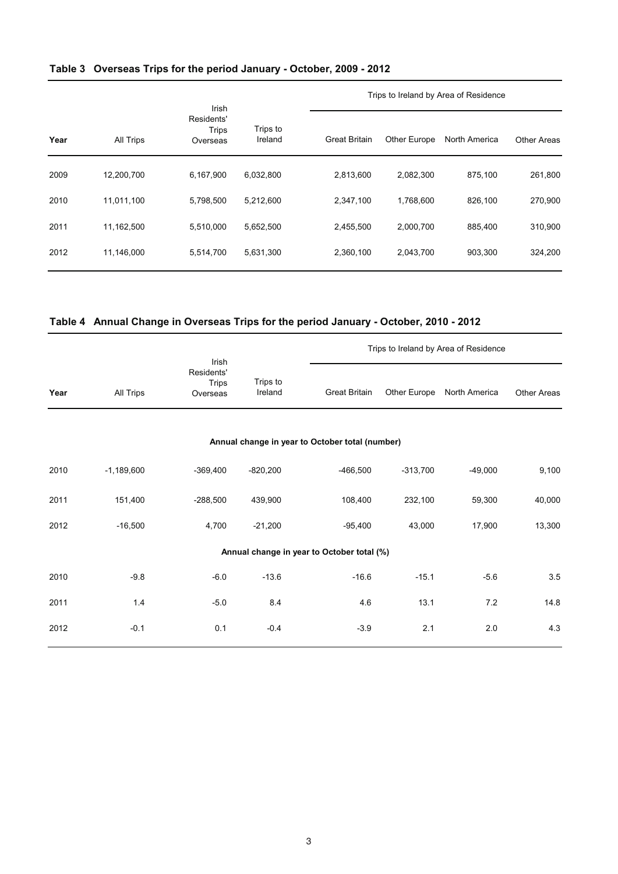|  |  |  | Table 3 Overseas Trips for the period January - October, 2009 - 2012 |  |  |
|--|--|--|----------------------------------------------------------------------|--|--|
|--|--|--|----------------------------------------------------------------------|--|--|

|      |            |                                                 |                     |                      | Trips to Ireland by Area of Residence |               |                    |  |
|------|------------|-------------------------------------------------|---------------------|----------------------|---------------------------------------|---------------|--------------------|--|
| Year | All Trips  | Irish<br>Residents'<br><b>Trips</b><br>Overseas | Trips to<br>Ireland | <b>Great Britain</b> | Other Europe                          | North America | <b>Other Areas</b> |  |
| 2009 | 12,200,700 | 6,167,900                                       | 6,032,800           | 2,813,600            | 2,082,300                             | 875.100       | 261,800            |  |
| 2010 | 11,011,100 | 5,798,500                                       | 5,212,600           | 2,347,100            | 1,768,600                             | 826.100       | 270,900            |  |
| 2011 | 11,162,500 | 5,510,000                                       | 5,652,500           | 2,455,500            | 2,000,700                             | 885.400       | 310,900            |  |
| 2012 | 11,146,000 | 5,514,700                                       | 5,631,300           | 2,360,100            | 2,043,700                             | 903,300       | 324,200            |  |

## **Table 4 Annual Change in Overseas Trips for the period January - October, 2010 - 2012**

|      |              | Irish                                  |                     |                                                 |              | Trips to Ireland by Area of Residence |                    |
|------|--------------|----------------------------------------|---------------------|-------------------------------------------------|--------------|---------------------------------------|--------------------|
| Year | All Trips    | Residents'<br><b>Trips</b><br>Overseas | Trips to<br>Ireland | <b>Great Britain</b>                            | Other Europe | North America                         | <b>Other Areas</b> |
|      |              |                                        |                     | Annual change in year to October total (number) |              |                                       |                    |
| 2010 | $-1,189,600$ | $-369,400$                             | $-820,200$          | $-466,500$                                      | $-313,700$   | $-49,000$                             | 9,100              |
| 2011 | 151,400      | $-288,500$                             | 439,900             | 108,400                                         | 232,100      | 59,300                                | 40,000             |
| 2012 | $-16,500$    | 4,700                                  | $-21,200$           | $-95,400$                                       | 43,000       | 17,900                                | 13,300             |
|      |              |                                        |                     | Annual change in year to October total (%)      |              |                                       |                    |
| 2010 | $-9.8$       | $-6.0$                                 | $-13.6$             | $-16.6$                                         | $-15.1$      | $-5.6$                                | $3.5\,$            |
| 2011 | 1.4          | $-5.0$                                 | 8.4                 | 4.6                                             | 13.1         | 7.2                                   | 14.8               |
| 2012 | $-0.1$       | 0.1                                    | $-0.4$              | $-3.9$                                          | 2.1          | 2.0                                   | 4.3                |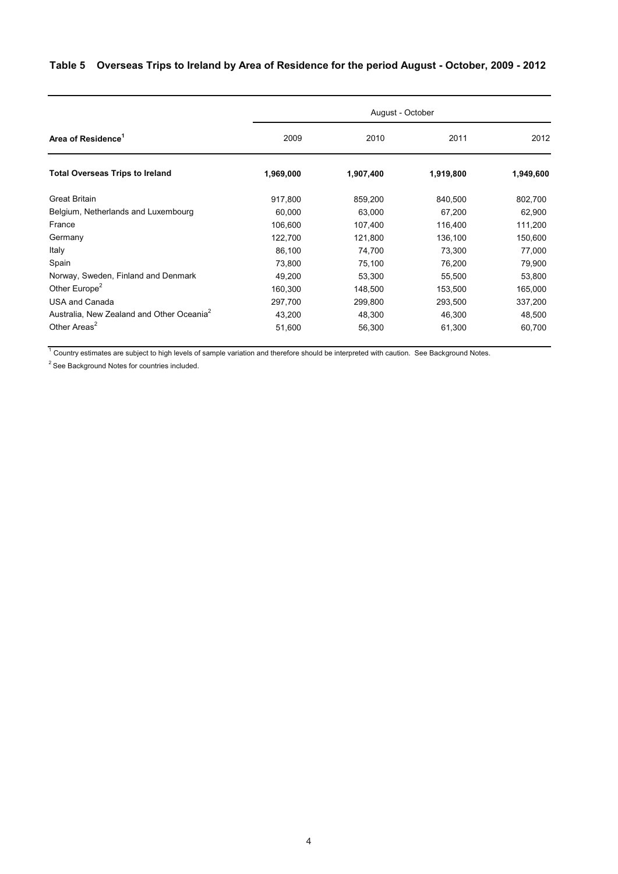# **Table 5 Overseas Trips to Ireland by Area of Residence for the period August - October, 2009 - 2012**

|                                                       | August - October |           |           |           |  |  |  |  |
|-------------------------------------------------------|------------------|-----------|-----------|-----------|--|--|--|--|
| Area of Residence <sup>1</sup>                        | 2009             | 2010      | 2011      | 2012      |  |  |  |  |
| <b>Total Overseas Trips to Ireland</b>                | 1,969,000        | 1,907,400 | 1,919,800 | 1,949,600 |  |  |  |  |
| <b>Great Britain</b>                                  | 917,800          | 859,200   | 840,500   | 802,700   |  |  |  |  |
| Belgium, Netherlands and Luxembourg                   | 60,000           | 63,000    | 67,200    | 62,900    |  |  |  |  |
| France                                                | 106,600          | 107,400   | 116,400   | 111,200   |  |  |  |  |
| Germany                                               | 122,700          | 121,800   | 136,100   | 150,600   |  |  |  |  |
| Italy                                                 | 86,100           | 74,700    | 73,300    | 77,000    |  |  |  |  |
| Spain                                                 | 73,800           | 75,100    | 76,200    | 79,900    |  |  |  |  |
| Norway, Sweden, Finland and Denmark                   | 49,200           | 53,300    | 55,500    | 53,800    |  |  |  |  |
| Other Europe <sup>2</sup>                             | 160,300          | 148,500   | 153,500   | 165,000   |  |  |  |  |
| <b>USA and Canada</b>                                 | 297,700          | 299,800   | 293,500   | 337,200   |  |  |  |  |
| Australia, New Zealand and Other Oceania <sup>2</sup> | 43,200           | 48,300    | 46,300    | 48,500    |  |  |  |  |
| Other Areas <sup>2</sup>                              | 51,600           | 56,300    | 61,300    | 60,700    |  |  |  |  |

<sup>1</sup> Country estimates are subject to high levels of sample variation and therefore should be interpreted with caution. See Background Notes.

 $2$  See Background Notes for countries included.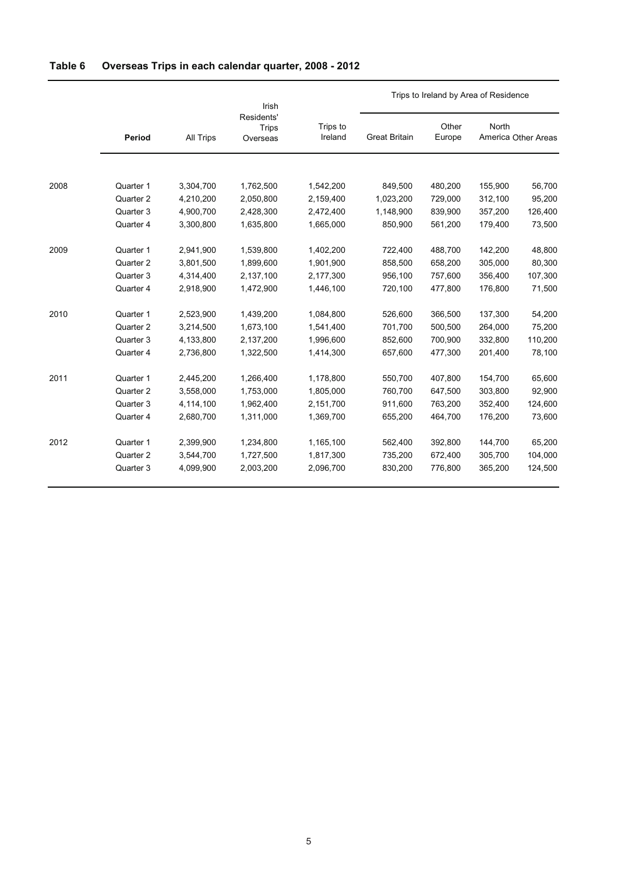| Table 6 | Overseas Trips in each calendar quarter, 2008 - 2012 |  |  |  |  |  |  |
|---------|------------------------------------------------------|--|--|--|--|--|--|
|---------|------------------------------------------------------|--|--|--|--|--|--|

|      |           |           | Irish                                  |                     | Trips to Ireland by Area of Residence |                 |         |                     |
|------|-----------|-----------|----------------------------------------|---------------------|---------------------------------------|-----------------|---------|---------------------|
|      | Period    | All Trips | Residents'<br><b>Trips</b><br>Overseas | Trips to<br>Ireland | <b>Great Britain</b>                  | Other<br>Europe | North   | America Other Areas |
|      |           |           |                                        |                     |                                       |                 |         |                     |
| 2008 | Quarter 1 | 3,304,700 | 1,762,500                              | 1,542,200           | 849,500                               | 480,200         | 155,900 | 56,700              |
|      | Quarter 2 | 4,210,200 | 2,050,800                              | 2,159,400           | 1,023,200                             | 729,000         | 312,100 | 95,200              |
|      | Quarter 3 | 4,900,700 | 2,428,300                              | 2,472,400           | 1,148,900                             | 839,900         | 357,200 | 126,400             |
|      | Quarter 4 | 3,300,800 | 1,635,800                              | 1,665,000           | 850,900                               | 561,200         | 179,400 | 73,500              |
| 2009 | Quarter 1 | 2,941,900 | 1,539,800                              | 1,402,200           | 722,400                               | 488,700         | 142,200 | 48,800              |
|      | Quarter 2 | 3,801,500 | 1,899,600                              | 1,901,900           | 858,500                               | 658,200         | 305,000 | 80,300              |
|      | Quarter 3 | 4,314,400 | 2,137,100                              | 2,177,300           | 956,100                               | 757,600         | 356,400 | 107,300             |
|      | Quarter 4 | 2,918,900 | 1,472,900                              | 1,446,100           | 720,100                               | 477,800         | 176,800 | 71,500              |
| 2010 | Quarter 1 | 2,523,900 | 1,439,200                              | 1,084,800           | 526,600                               | 366,500         | 137,300 | 54,200              |
|      | Quarter 2 | 3,214,500 | 1,673,100                              | 1,541,400           | 701,700                               | 500,500         | 264,000 | 75,200              |
|      | Quarter 3 | 4,133,800 | 2,137,200                              | 1,996,600           | 852,600                               | 700,900         | 332,800 | 110,200             |
|      | Quarter 4 | 2,736,800 | 1,322,500                              | 1,414,300           | 657,600                               | 477,300         | 201,400 | 78,100              |
| 2011 | Quarter 1 | 2,445,200 | 1,266,400                              | 1,178,800           | 550,700                               | 407,800         | 154,700 | 65,600              |
|      | Quarter 2 | 3,558,000 | 1,753,000                              | 1,805,000           | 760,700                               | 647,500         | 303,800 | 92,900              |
|      | Quarter 3 | 4,114,100 | 1,962,400                              | 2,151,700           | 911,600                               | 763,200         | 352,400 | 124,600             |
|      | Quarter 4 | 2,680,700 | 1,311,000                              | 1,369,700           | 655,200                               | 464,700         | 176,200 | 73,600              |
| 2012 | Quarter 1 | 2,399,900 | 1,234,800                              | 1,165,100           | 562,400                               | 392,800         | 144,700 | 65,200              |
|      | Quarter 2 | 3,544,700 | 1,727,500                              | 1,817,300           | 735,200                               | 672,400         | 305,700 | 104,000             |
|      | Quarter 3 | 4,099,900 | 2,003,200                              | 2,096,700           | 830,200                               | 776,800         | 365,200 | 124,500             |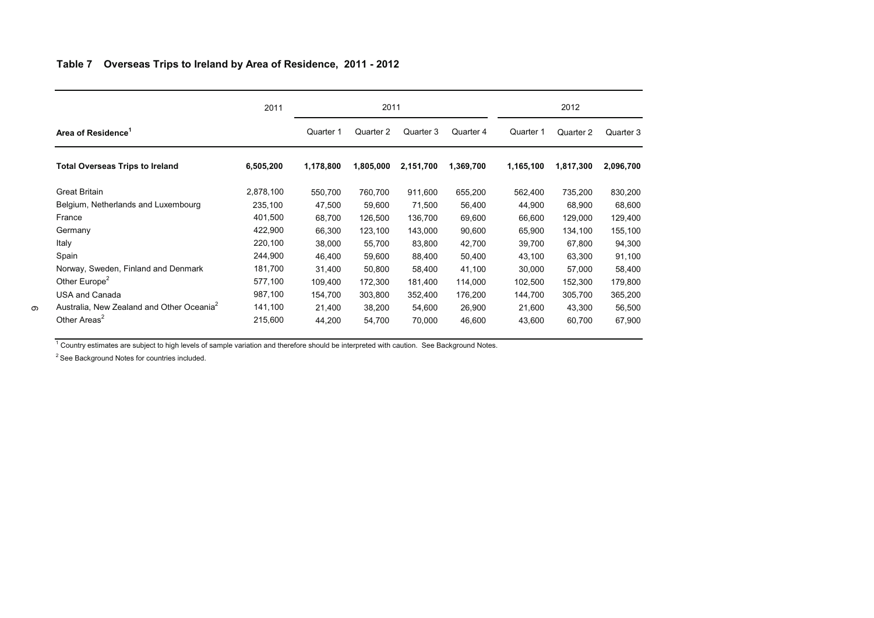### Table 7 Overseas Trips to Ireland by Area of Residence, 2011 - 2012

|                                                       | 2011      | 2011      |           |           |           | 2012      |           |           |
|-------------------------------------------------------|-----------|-----------|-----------|-----------|-----------|-----------|-----------|-----------|
| Area of Residence                                     |           | Quarter 1 | Quarter 2 | Quarter 3 | Quarter 4 | Quarter 1 | Quarter 2 | Quarter 3 |
| <b>Total Overseas Trips to Ireland</b>                | 6,505,200 | 1,178,800 | 1,805,000 | 2,151,700 | 1,369,700 | 1,165,100 | 1,817,300 | 2,096,700 |
| <b>Great Britain</b>                                  | 2,878,100 | 550,700   | 760,700   | 911,600   | 655,200   | 562,400   | 735,200   | 830,200   |
| Belgium, Netherlands and Luxembourg                   | 235,100   | 47,500    | 59,600    | 71,500    | 56,400    | 44,900    | 68,900    | 68,600    |
| France                                                | 401,500   | 68,700    | 126,500   | 136,700   | 69,600    | 66,600    | 129,000   | 129,400   |
| Germany                                               | 422,900   | 66,300    | 123,100   | 143,000   | 90,600    | 65,900    | 134,100   | 155,100   |
| Italy                                                 | 220,100   | 38,000    | 55,700    | 83,800    | 42,700    | 39,700    | 67,800    | 94,300    |
| Spain                                                 | 244,900   | 46,400    | 59,600    | 88,400    | 50,400    | 43,100    | 63,300    | 91,100    |
| Norway, Sweden, Finland and Denmark                   | 181,700   | 31,400    | 50,800    | 58,400    | 41,100    | 30,000    | 57,000    | 58,400    |
| Other Europe <sup>2</sup>                             | 577,100   | 109,400   | 172,300   | 181,400   | 114,000   | 102,500   | 152,300   | 179,800   |
| <b>USA and Canada</b>                                 | 987,100   | 154,700   | 303,800   | 352,400   | 176,200   | 144,700   | 305,700   | 365,200   |
| Australia, New Zealand and Other Oceania <sup>2</sup> | 141,100   | 21,400    | 38,200    | 54,600    | 26,900    | 21,600    | 43,300    | 56,500    |
| Other Areas <sup>2</sup>                              | 215,600   | 44,200    | 54,700    | 70,000    | 46,600    | 43,600    | 60,700    | 67,900    |

 $1$  Country estimates are subject to high levels of sample variation and therefore should be interpreted with caution. See Background Notes.

 $2$  See Background Notes for countries included.

6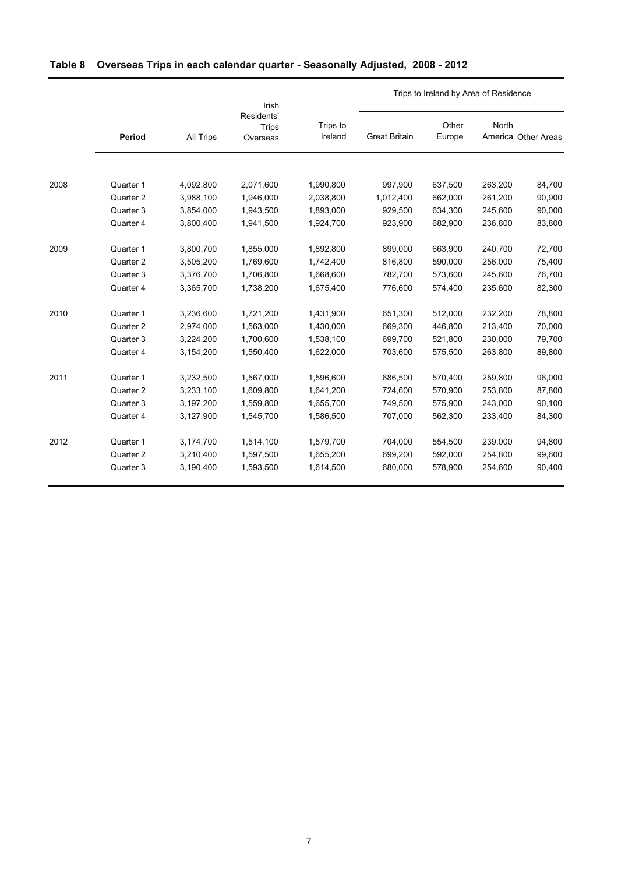# **Table 8 Overseas Trips in each calendar quarter - Seasonally Adjusted, 2008 - 2012**

|      |           |           | Irish                                  |                     | Trips to Ireland by Area of Residence |                 |         |                     |
|------|-----------|-----------|----------------------------------------|---------------------|---------------------------------------|-----------------|---------|---------------------|
|      | Period    | All Trips | Residents'<br><b>Trips</b><br>Overseas | Trips to<br>Ireland | <b>Great Britain</b>                  | Other<br>Europe | North   | America Other Areas |
|      |           |           |                                        |                     |                                       |                 |         |                     |
| 2008 | Quarter 1 | 4,092,800 | 2,071,600                              | 1,990,800           | 997,900                               | 637,500         | 263,200 | 84,700              |
|      | Quarter 2 | 3,988,100 | 1,946,000                              | 2,038,800           | 1,012,400                             | 662,000         | 261,200 | 90,900              |
|      | Quarter 3 | 3,854,000 | 1,943,500                              | 1,893,000           | 929,500                               | 634,300         | 245,600 | 90,000              |
|      | Quarter 4 | 3,800,400 | 1,941,500                              | 1,924,700           | 923,900                               | 682,900         | 236,800 | 83,800              |
| 2009 | Quarter 1 | 3,800,700 | 1,855,000                              | 1,892,800           | 899,000                               | 663,900         | 240,700 | 72,700              |
|      | Quarter 2 | 3,505,200 | 1,769,600                              | 1,742,400           | 816,800                               | 590,000         | 256,000 | 75,400              |
|      | Quarter 3 | 3,376,700 | 1,706,800                              | 1,668,600           | 782,700                               | 573,600         | 245,600 | 76,700              |
|      | Quarter 4 | 3,365,700 | 1,738,200                              | 1,675,400           | 776,600                               | 574,400         | 235,600 | 82,300              |
| 2010 | Quarter 1 | 3,236,600 | 1,721,200                              | 1,431,900           | 651,300                               | 512,000         | 232,200 | 78,800              |
|      | Quarter 2 | 2,974,000 | 1,563,000                              | 1,430,000           | 669,300                               | 446,800         | 213,400 | 70,000              |
|      | Quarter 3 | 3,224,200 | 1,700,600                              | 1,538,100           | 699,700                               | 521,800         | 230,000 | 79,700              |
|      | Quarter 4 | 3,154,200 | 1,550,400                              | 1,622,000           | 703,600                               | 575.500         | 263,800 | 89,800              |
| 2011 | Quarter 1 | 3,232,500 | 1,567,000                              | 1,596,600           | 686,500                               | 570,400         | 259,800 | 96,000              |
|      | Quarter 2 | 3,233,100 | 1,609,800                              | 1,641,200           | 724,600                               | 570,900         | 253,800 | 87,800              |
|      | Quarter 3 | 3,197,200 | 1,559,800                              | 1,655,700           | 749,500                               | 575,900         | 243,000 | 90,100              |
|      | Quarter 4 | 3,127,900 | 1,545,700                              | 1,586,500           | 707,000                               | 562,300         | 233,400 | 84,300              |
| 2012 | Quarter 1 | 3,174,700 | 1,514,100                              | 1,579,700           | 704,000                               | 554,500         | 239,000 | 94,800              |
|      | Quarter 2 | 3,210,400 | 1,597,500                              | 1,655,200           | 699,200                               | 592,000         | 254,800 | 99,600              |
|      | Quarter 3 | 3,190,400 | 1,593,500                              | 1,614,500           | 680,000                               | 578,900         | 254,600 | 90,400              |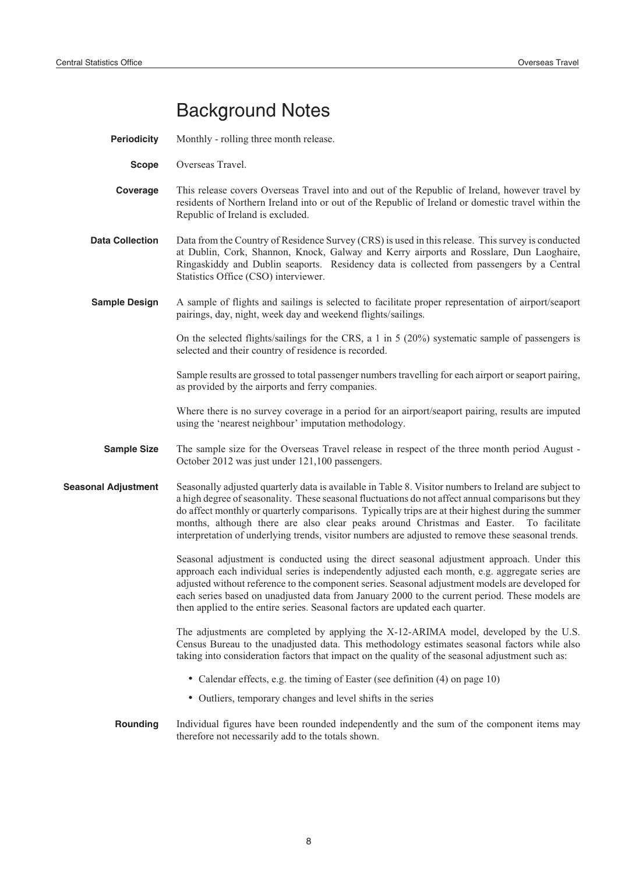# Background Notes

- **Periodicity** Monthly rolling three month release.
	- **Scope** Overseas Travel.
- **Coverage** This release covers Overseas Travel into and out of the Republic of Ireland, however travel by residents of Northern Ireland into or out of the Republic of Ireland or domestic travel within the Republic of Ireland is excluded.
- **Data Collection** Data from the Country of Residence Survey (CRS) is used in this release. This survey is conducted at Dublin, Cork, Shannon, Knock, Galway and Kerry airports and Rosslare, Dun Laoghaire, Ringaskiddy and Dublin seaports. Residency data is collected from passengers by a Central Statistics Office (CSO) interviewer.
- **Sample Design** A sample of flights and sailings is selected to facilitate proper representation of airport/seaport pairings, day, night, week day and weekend flights/sailings.

On the selected flights/sailings for the CRS, a 1 in 5 (20%) systematic sample of passengers is selected and their country of residence is recorded.

Sample results are grossed to total passenger numbers travelling for each airport or seaport pairing, as provided by the airports and ferry companies.

Where there is no survey coverage in a period for an airport/seaport pairing, results are imputed using the 'nearest neighbour' imputation methodology.

- **Sample Size** The sample size for the Overseas Travel release in respect of the three month period August -October 2012 was just under 121,100 passengers.
- **Seasonal Adjustment** Seasonally adjusted quarterly data is available in Table 8. Visitor numbers to Ireland are subject to a high degree of seasonality. These seasonal fluctuations do not affect annual comparisons but they do affect monthly or quarterly comparisons. Typically trips are at their highest during the summer months, although there are also clear peaks around Christmas and Easter. To facilitate interpretation of underlying trends, visitor numbers are adjusted to remove these seasonal trends.

Seasonal adjustment is conducted using the direct seasonal adjustment approach. Under this approach each individual series is independently adjusted each month, e.g. aggregate series are adjusted without reference to the component series. Seasonal adjustment models are developed for each series based on unadjusted data from January 2000 to the current period. These models are then applied to the entire series. Seasonal factors are updated each quarter.

The adjustments are completed by applying the X-12-ARIMA model, developed by the U.S. Census Bureau to the unadjusted data. This methodology estimates seasonal factors while also taking into consideration factors that impact on the quality of the seasonal adjustment such as:

- Calendar effects, e.g. the timing of Easter (see definition (4) on page 10)
- Outliers, temporary changes and level shifts in the series
- **Rounding** Individual figures have been rounded independently and the sum of the component items may therefore not necessarily add to the totals shown.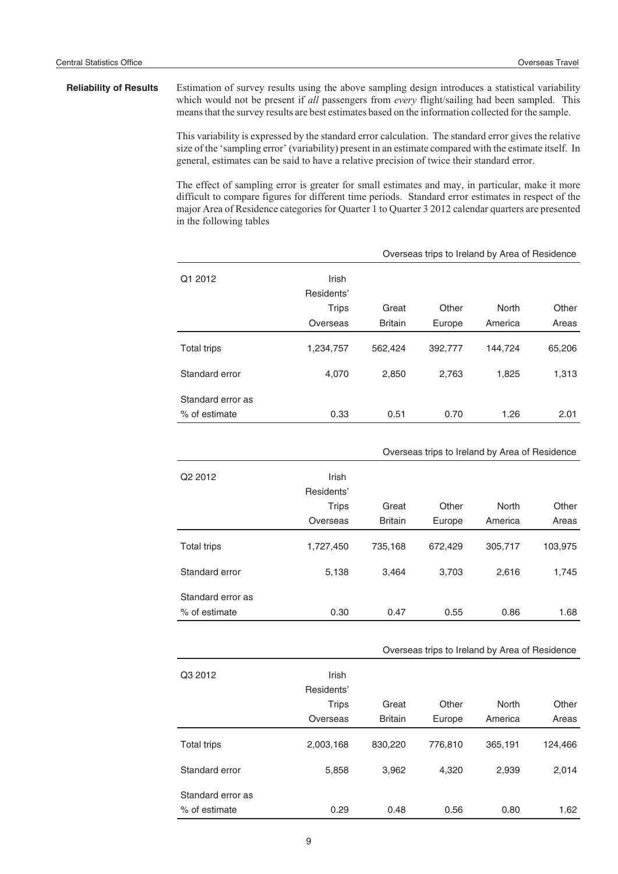### **Reliability of Results** Estimation of survey results using the above sampling design introduces a statistical variability which would not be present if *all* passengers from *every* flight/sailing had been sampled. This means that the survey results are best estimates based on the information collected for the sample.

This variability is expressed by the standard error calculation. The standard error gives the relative size of the 'sampling error' (variability) present in an estimate compared with the estimate itself. In general, estimates can be said to have a relative precision of twice their standard error.

The effect of sampling error is greater for small estimates and may, in particular, make it more difficult to compare figures for different time periods. Standard error estimates in respect of the major Area of Residence categories for Quarter 1 to Quarter 3 2012 calendar quarters are presented in the following tables

|                                    |                            | Overseas trips to Ireland by Area of Residence |         |         |        |
|------------------------------------|----------------------------|------------------------------------------------|---------|---------|--------|
| Q1 2012                            | <b>Irish</b><br>Residents' |                                                |         |         |        |
|                                    | <b>Trips</b>               | Great                                          | Other   | North   | Other  |
|                                    | Overseas                   | <b>Britain</b>                                 | Europe  | America | Areas  |
| Total trips                        | 1,234,757                  | 562,424                                        | 392,777 | 144,724 | 65,206 |
| Standard error                     | 4,070                      | 2,850                                          | 2,763   | 1,825   | 1,313  |
| Standard error as<br>% of estimate | 0.33                       | 0.51                                           | 0.70    | 1.26    | 2.01   |

|                   |                                                 |                         | Overseas trips to Ireland by Area of Residence |                  |                |
|-------------------|-------------------------------------------------|-------------------------|------------------------------------------------|------------------|----------------|
| Q2 2012           | Irish<br>Residents'<br><b>Trips</b><br>Overseas | Great<br><b>Britain</b> | Other<br>Europe                                | North<br>America | Other<br>Areas |
|                   |                                                 |                         |                                                |                  |                |
| Total trips       | 1,727,450                                       | 735,168                 | 672,429                                        | 305,717          | 103,975        |
| Standard error    | 5,138                                           | 3,464                   | 3,703                                          | 2,616            | 1,745          |
| Standard error as |                                                 |                         |                                                |                  |                |
| % of estimate     | 0.30                                            | 0.47                    | 0.55                                           | 0.86             | 1.68           |

#### Overseas trips to Ireland by Area of Residence

| Q3 2012                            | Irish<br>Residents' |                |         |         |         |
|------------------------------------|---------------------|----------------|---------|---------|---------|
|                                    | <b>Trips</b>        | Great          | Other   | North   | Other   |
|                                    | Overseas            | <b>Britain</b> | Europe  | America | Areas   |
| Total trips                        | 2,003,168           | 830,220        | 776,810 | 365,191 | 124,466 |
| Standard error                     | 5,858               | 3,962          | 4,320   | 2,939   | 2,014   |
| Standard error as<br>% of estimate | 0.29                | 0.48           | 0.56    | 0.80    | 1.62    |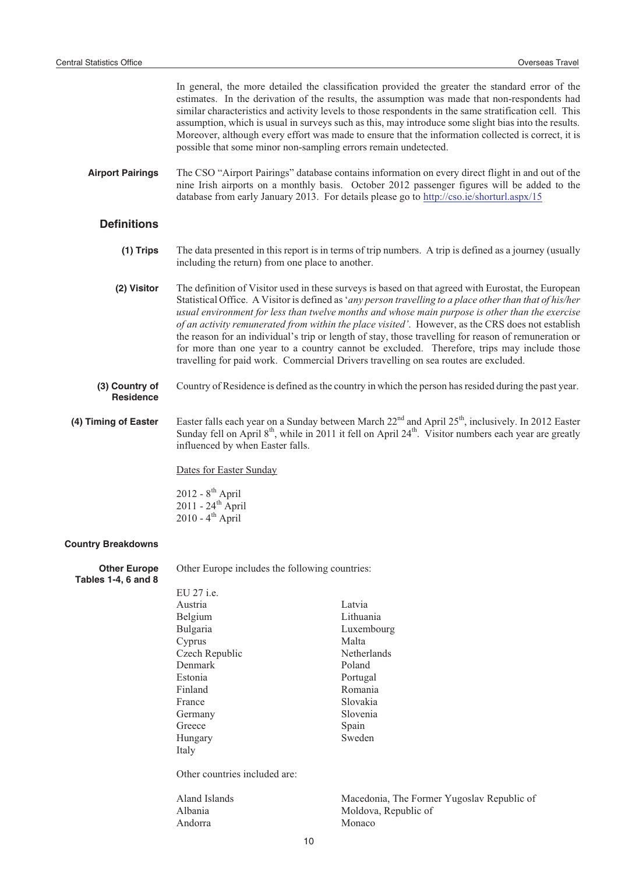In general, the more detailed the classification provided the greater the standard error of the estimates. In the derivation of the results, the assumption was made that non-respondents had similar characteristics and activity levels to those respondents in the same stratification cell. This assumption, which is usual in surveys such as this, may introduce some slight bias into the results. Moreover, although every effort was made to ensure that the information collected is correct, it is possible that some minor non-sampling errors remain undetected.

**Airport Pairings** The CSO "Airport Pairings" database contains information on every direct flight in and out of the nine Irish airports on a monthly basis. October 2012 passenger figures will be added to the database from early January 2013. For details please go to http://cso.ie/shorturl.aspx/15

### **Definitions**

- **(1) Trips** The data presented in this report is in terms of trip numbers. A trip is defined as a journey (usually including the return) from one place to another.
- **(2) Visitor** The definition of Visitor used in these surveys is based on that agreed with Eurostat, the European Statistical Office. A Visitor is defined as '*any person travelling to a place other than that of his/her usual environment for less than twelve months and whose main purpose is other than the exercise of an activity remunerated from within the place visited'*. However, as the CRS does not establish the reason for an individual's trip or length of stay, those travelling for reason of remuneration or for more than one year to a country cannot be excluded. Therefore, trips may include those travelling for paid work. Commercial Drivers travelling on sea routes are excluded.
- **(3) Country of Residence** Country of Residence is defined as the country in which the person has resided during the past year.

### (4) Timing of Easter Easter falls each year on a Sunday between March 22<sup>nd</sup> and April 25<sup>th</sup>, inclusively. In 2012 Easter Sunday fell on April  $8<sup>th</sup>$ , while in 2011 it fell on April 24<sup>th</sup>. Visitor numbers each year are greatly influenced by when Easter falls.

Dates for Easter Sunday

2012 -  $8^{\text{th}}$  April  $2011 - 24$ <sup>th</sup> April  $2010 - 4$ <sup>th</sup> April

#### **Country Breakdowns**

**Other Europe Tables 1-4, 6 and 8** Other Europe includes the following countries:

| EU 27 i.e.                    |                    |
|-------------------------------|--------------------|
| Austria                       | Latvia             |
| Belgium                       | Lithuania          |
| Bulgaria                      | Luxembourg         |
| Cyprus                        | Malta              |
| Czech Republic                | <b>Netherlands</b> |
| Denmark                       | Poland             |
| Estonia                       | Portugal           |
| Finland                       | Romania            |
| France                        | Slovakia           |
| Germany                       | Slovenia           |
| Greece                        | Spain              |
| Hungary                       | Sweden             |
| Italy                         |                    |
| Other countries included are: |                    |
| Alond Islands                 | Macadonia The      |

Aland Islands Macedonia, The Former Yugoslav Republic of Albania Moldova, Republic of Andorra Monaco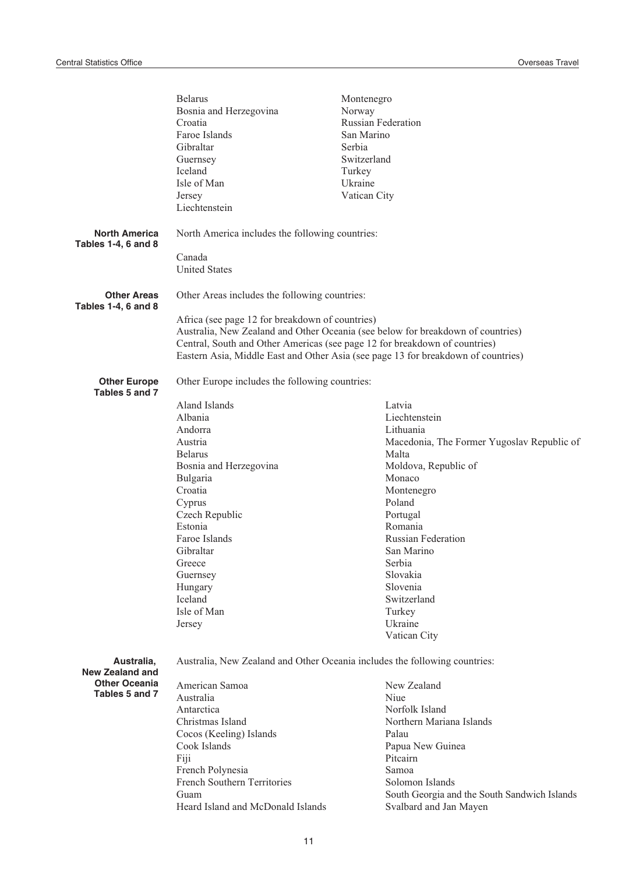|                                                    | <b>Belarus</b><br>Bosnia and Herzegovina<br>Croatia<br>Faroe Islands<br>Gibraltar<br>Guernsey<br>Iceland<br>Isle of Man<br>Jersey<br>Liechtenstein | Montenegro<br>Norway<br><b>Russian Federation</b><br>San Marino<br>Serbia<br>Switzerland<br>Turkey<br>Ukraine<br>Vatican City |  |
|----------------------------------------------------|----------------------------------------------------------------------------------------------------------------------------------------------------|-------------------------------------------------------------------------------------------------------------------------------|--|
| <b>North America</b><br><b>Tables 1-4, 6 and 8</b> | North America includes the following countries:                                                                                                    |                                                                                                                               |  |
|                                                    | Canada<br><b>United States</b>                                                                                                                     |                                                                                                                               |  |
| <b>Other Areas</b><br><b>Tables 1-4, 6 and 8</b>   | Other Areas includes the following countries:                                                                                                      |                                                                                                                               |  |
|                                                    | Africa (see page 12 for breakdown of countries)                                                                                                    |                                                                                                                               |  |
|                                                    |                                                                                                                                                    | Australia, New Zealand and Other Oceania (see below for breakdown of countries)                                               |  |
|                                                    | Central, South and Other Americas (see page 12 for breakdown of countries)                                                                         |                                                                                                                               |  |
|                                                    |                                                                                                                                                    | Eastern Asia, Middle East and Other Asia (see page 13 for breakdown of countries)                                             |  |
| <b>Other Europe</b><br>Tables 5 and 7              | Other Europe includes the following countries:                                                                                                     |                                                                                                                               |  |
|                                                    | Aland Islands                                                                                                                                      | Latvia                                                                                                                        |  |
|                                                    | Albania                                                                                                                                            | Liechtenstein                                                                                                                 |  |
|                                                    | Andorra                                                                                                                                            | Lithuania                                                                                                                     |  |
|                                                    | Austria                                                                                                                                            | Macedonia, The Former Yugoslav Republic of                                                                                    |  |
|                                                    | <b>Belarus</b>                                                                                                                                     | Malta                                                                                                                         |  |
|                                                    | Bosnia and Herzegovina                                                                                                                             | Moldova, Republic of                                                                                                          |  |
|                                                    | Bulgaria                                                                                                                                           | Monaco                                                                                                                        |  |
|                                                    | Croatia                                                                                                                                            | Montenegro                                                                                                                    |  |
|                                                    | Cyprus                                                                                                                                             | Poland                                                                                                                        |  |
|                                                    | Czech Republic                                                                                                                                     | Portugal                                                                                                                      |  |
|                                                    | Estonia                                                                                                                                            | Romania                                                                                                                       |  |
|                                                    | Faroe Islands                                                                                                                                      | <b>Russian Federation</b>                                                                                                     |  |
|                                                    | Gibraltar                                                                                                                                          | San Marino                                                                                                                    |  |
|                                                    | Greece                                                                                                                                             | Serbia                                                                                                                        |  |
|                                                    | Guernsey                                                                                                                                           | Slovakia                                                                                                                      |  |
|                                                    | Hungary<br>Iceland                                                                                                                                 | Slovenia<br>Switzerland                                                                                                       |  |
|                                                    | Isle of Man                                                                                                                                        | Turkey                                                                                                                        |  |
|                                                    | Jersey                                                                                                                                             | Ukraine                                                                                                                       |  |
|                                                    |                                                                                                                                                    | Vatican City                                                                                                                  |  |
| Australia,<br><b>New Zealand and</b>               | Australia, New Zealand and Other Oceania includes the following countries:                                                                         |                                                                                                                               |  |
| <b>Other Oceania</b>                               | American Samoa                                                                                                                                     | New Zealand                                                                                                                   |  |
| Tables 5 and 7                                     | Australia                                                                                                                                          | Niue                                                                                                                          |  |
|                                                    | Antarctica                                                                                                                                         | Norfolk Island                                                                                                                |  |
|                                                    | Christmas Island                                                                                                                                   | Northern Mariana Islands                                                                                                      |  |
|                                                    | Cocos (Keeling) Islands                                                                                                                            | Palau                                                                                                                         |  |
|                                                    | Cook Islands                                                                                                                                       | Papua New Guinea                                                                                                              |  |
|                                                    | Fiji                                                                                                                                               | Pitcairn                                                                                                                      |  |
|                                                    | French Polynesia                                                                                                                                   | Samoa                                                                                                                         |  |
|                                                    | French Southern Territories                                                                                                                        | Solomon Islands                                                                                                               |  |
|                                                    | Guam                                                                                                                                               | South Georgia and the South Sandwich Islands                                                                                  |  |
|                                                    | Heard Island and McDonald Islands                                                                                                                  | Svalbard and Jan Mayen                                                                                                        |  |
|                                                    |                                                                                                                                                    |                                                                                                                               |  |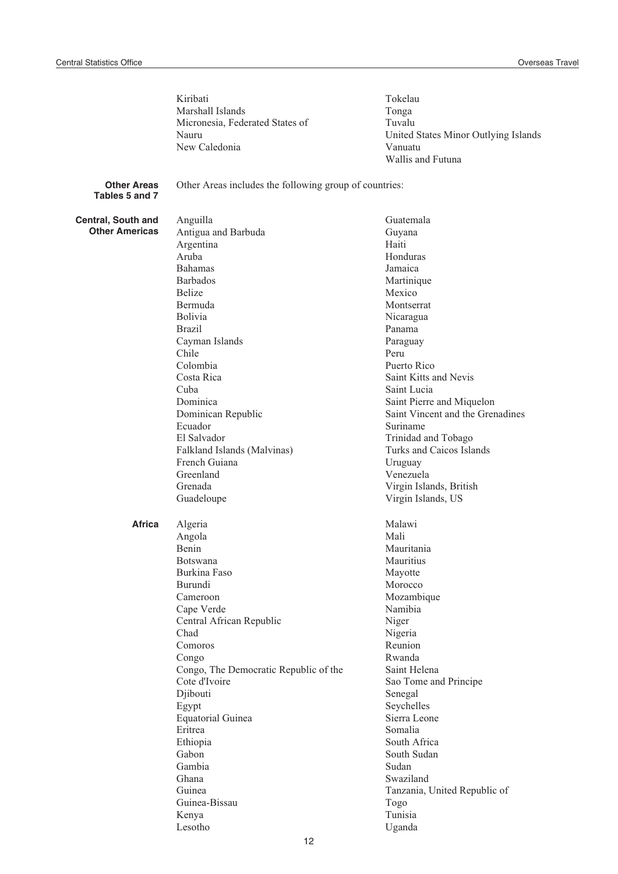|                                      | Kiribati                                               | Tokelau                                       |
|--------------------------------------|--------------------------------------------------------|-----------------------------------------------|
|                                      | Marshall Islands                                       | Tonga                                         |
|                                      | Micronesia, Federated States of                        | Tuvalu                                        |
|                                      | Nauru                                                  | United States Minor Outlying Islands          |
|                                      | New Caledonia                                          | Vanuatu                                       |
|                                      |                                                        | Wallis and Futuna                             |
| <b>Other Areas</b><br>Tables 5 and 7 | Other Areas includes the following group of countries: |                                               |
| Central, South and                   | Anguilla                                               | Guatemala                                     |
| <b>Other Americas</b>                | Antigua and Barbuda                                    | Guyana                                        |
|                                      | Argentina                                              | Haiti                                         |
|                                      | Aruba                                                  | Honduras                                      |
|                                      | <b>Bahamas</b>                                         | Jamaica                                       |
|                                      | <b>Barbados</b>                                        | Martinique                                    |
|                                      | <b>Belize</b>                                          | Mexico                                        |
|                                      | Bermuda                                                | Montserrat                                    |
|                                      | Bolivia                                                | Nicaragua                                     |
|                                      | <b>Brazil</b>                                          | Panama                                        |
|                                      | Cayman Islands                                         | Paraguay                                      |
|                                      | Chile                                                  | Peru                                          |
|                                      | Colombia                                               | Puerto Rico                                   |
|                                      | Costa Rica                                             | Saint Kitts and Nevis                         |
|                                      | Cuba                                                   | Saint Lucia                                   |
|                                      | Dominica                                               | Saint Pierre and Miquelon                     |
|                                      | Dominican Republic                                     | Saint Vincent and the Grenadines              |
|                                      | Ecuador                                                | Suriname                                      |
|                                      | El Salvador                                            | Trinidad and Tobago                           |
|                                      | Falkland Islands (Malvinas)                            | Turks and Caicos Islands                      |
|                                      | French Guiana                                          | Uruguay                                       |
|                                      | Greenland                                              | Venezuela                                     |
|                                      | Grenada                                                |                                               |
|                                      | Guadeloupe                                             | Virgin Islands, British<br>Virgin Islands, US |
|                                      |                                                        |                                               |
| <b>Africa</b>                        | Algeria                                                | Malawi                                        |
|                                      | Angola                                                 | Mali                                          |
|                                      | Benin                                                  | Mauritania                                    |
|                                      | <b>Botswana</b>                                        | Mauritius                                     |
|                                      | Burkina Faso                                           | Mayotte                                       |
|                                      | Burundi                                                | Morocco                                       |
|                                      | Cameroon                                               | Mozambique                                    |
|                                      | Cape Verde                                             | Namibia                                       |
|                                      | Central African Republic                               | Niger                                         |
|                                      | Chad                                                   | Nigeria                                       |
|                                      | Comoros                                                | Reunion                                       |
|                                      | Congo                                                  | Rwanda                                        |
|                                      | Congo, The Democratic Republic of the                  | Saint Helena                                  |
|                                      | Cote d'Ivoire                                          | Sao Tome and Principe                         |
|                                      | Djibouti                                               | Senegal                                       |
|                                      | Egypt                                                  | Seychelles                                    |
|                                      | <b>Equatorial Guinea</b>                               | Sierra Leone                                  |
|                                      | Eritrea                                                | Somalia                                       |
|                                      | Ethiopia                                               | South Africa                                  |
|                                      | Gabon                                                  | South Sudan                                   |
|                                      | Gambia                                                 | Sudan                                         |
|                                      | Ghana                                                  | Swaziland                                     |
|                                      | Guinea                                                 | Tanzania, United Republic of                  |
|                                      | Guinea-Bissau                                          | Togo                                          |
|                                      | Kenya                                                  | Tunisia                                       |
|                                      | Lesotho                                                | Uganda                                        |